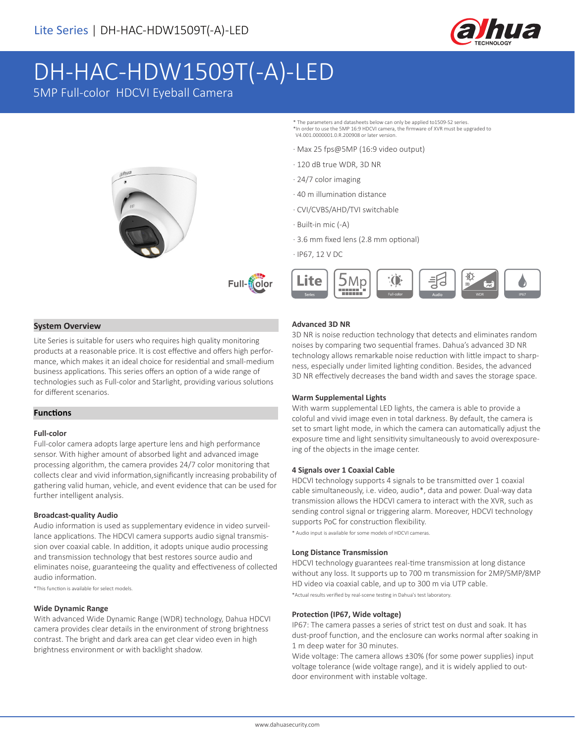

WDR J IP67

# DH-HAC-HDW1509T(-A)-LED

5MP Full-color HDCVI Eyeball Camera



#### **System Overview**

Lite Series is suitable for users who requires high quality monitoring products at a reasonable price. It is cost effective and offers high performance, which makes it an ideal choice for residential and small-medium business applications. This series offers an option of a wide range of technologies such as Full-color and Starlight, providing various solutions for different scenarios.

#### **Functions**

#### **Full-color**

Full-color camera adopts large aperture lens and high performance sensor. With higher amount of absorbed light and advanced image processing algorithm, the camera provides 24/7 color monitoring that collects clear and vivid information,significantly increasing probability of gathering valid human, vehicle, and event evidence that can be used for further intelligent analysis.

#### **Broadcast-quality Audio**

Audio information is used as supplementary evidence in video surveillance applications. The HDCVI camera supports audio signal transmission over coaxial cable. In addition, it adopts unique audio processing and transmission technology that best restores source audio and eliminates noise, guaranteeing the quality and effectiveness of collected audio information.

\*This function is available for select models.

#### **Wide Dynamic Range**

With advanced Wide Dynamic Range (WDR) technology, Dahua HDCVI camera provides clear details in the environment of strong brightness contrast. The bright and dark area can get clear video even in high brightness environment or with backlight shadow.

**Advanced 3D NR**

3D NR is noise reduction technology that detects and eliminates random noises by comparing two sequential frames. Dahua's advanced 3D NR technology allows remarkable noise reduction with little impact to sharpness, especially under limited lighting condition. Besides, the advanced 3D NR effectively decreases the band width and saves the storage space.

\* The parameters and datasheets below can only be applied to1509-S2 series. \*In order to use the 5MP 16:9 HDCVI camera, the firmware of XVR must be upgraded to

V4.001.0000001.0.R.200908 or later version.

· 120 dB true WDR, 3D NR

· 40 m illumination distance · CVI/CVBS/AHD/TVI switchable

· 24/7 color imaging

· Built-in mic (-A)

· IP67, 12 V DC

Lite

· Max 25 fps@5MP (16:9 video output)

· 3.6 mm fixed lens (2.8 mm optional)

 $5$ Mp

1999)

#### **Warm Supplemental Lights**

With warm supplemental LED lights, the camera is able to provide a coloful and vivid image even in total darkness. By default, the camera is set to smart light mode, in which the camera can automatically adjust the exposure time and light sensitivity simultaneously to avoid overexposureing of the objects in the image center.

#### **4 Signals over 1 Coaxial Cable**

HDCVI technology supports 4 signals to be transmitted over 1 coaxial cable simultaneously, i.e. video, audio\*, data and power. Dual-way data transmission allows the HDCVI camera to interact with the XVR, such as sending control signal or triggering alarm. Moreover, HDCVI technology supports PoC for construction flexibility.

\* Audio input is available for some models of HDCVI cameras.

#### **Long Distance Transmission**

HDCVI technology guarantees real-time transmission at long distance without any loss. It supports up to 700 m transmission for 2MP/5MP/8MP HD video via coaxial cable, and up to 300 m via UTP cable. \*Actual results verified by real-scene testing in Dahua's test laboratory.

## **Protection (IP67, Wide voltage)**

IP67: The camera passes a series of strict test on dust and soak. It has dust-proof function, and the enclosure can works normal after soaking in 1 m deep water for 30 minutes.

Wide voltage: The camera allows ±30% (for some power supplies) input voltage tolerance (wide voltage range), and it is widely applied to outdoor environment with instable voltage.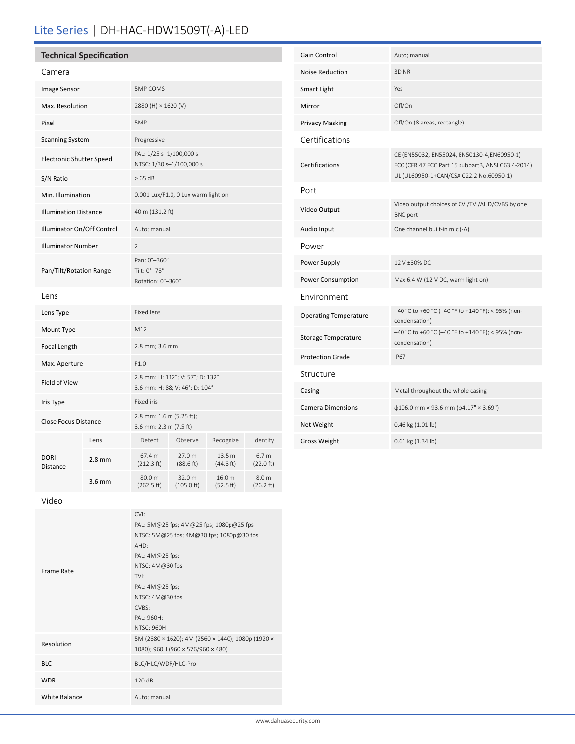## Lite Series | DH-HAC-HDW1509T(-A)-LED

## **Technical Specification**

| Camera                          |          |                                                                    |                      |                     |                               |
|---------------------------------|----------|--------------------------------------------------------------------|----------------------|---------------------|-------------------------------|
| Image Sensor                    |          | <b>5MP COMS</b>                                                    |                      |                     |                               |
| Max. Resolution                 |          | 2880 (H) × 1620 (V)                                                |                      |                     |                               |
| Pixel                           |          | 5MP                                                                |                      |                     |                               |
| <b>Scanning System</b>          |          | Progressive                                                        |                      |                     |                               |
| <b>Electronic Shutter Speed</b> |          | PAL: 1/25 s-1/100,000 s<br>NTSC: 1/30 s-1/100,000 s                |                      |                     |                               |
| S/N Ratio                       |          | >65 dB                                                             |                      |                     |                               |
| Min. Illumination               |          | 0.001 Lux/F1.0, 0 Lux warm light on                                |                      |                     |                               |
| <b>Illumination Distance</b>    |          | 40 m (131.2 ft)                                                    |                      |                     |                               |
| Illuminator On/Off Control      |          | Auto; manual                                                       |                      |                     |                               |
| <b>Illuminator Number</b>       |          | $\overline{2}$                                                     |                      |                     |                               |
| Pan/Tilt/Rotation Range         |          | Pan: 0°-360°<br>Tilt: 0°-78°<br>Rotation: 0°-360°                  |                      |                     |                               |
| Lens                            |          |                                                                    |                      |                     |                               |
| Lens Type                       |          | <b>Fixed lens</b>                                                  |                      |                     |                               |
| Mount Type                      |          | M12                                                                |                      |                     |                               |
| Focal Length                    |          | 2.8 mm; 3.6 mm                                                     |                      |                     |                               |
| Max. Aperture                   |          | F1.0                                                               |                      |                     |                               |
| Field of View                   |          | 2.8 mm: H: 112°; V: 57°; D: 132°<br>3.6 mm: H: 88; V: 46°; D: 104° |                      |                     |                               |
| Iris Type                       |          | Fixed iris                                                         |                      |                     |                               |
| <b>Close Focus Distance</b>     |          | 2.8 mm: 1.6 m (5.25 ft);<br>3.6 mm: 2.3 m (7.5 ft)                 |                      |                     |                               |
| <b>DORI</b><br>Distance         | Lens     | Detect                                                             | Observe              | Recognize           | Identify                      |
|                                 | $2.8$ mm | 67.4 m<br>(212.3 ft)                                               | 27.0 m<br>(88.6 ft)  | 13.5 m<br>(44.3 ft) | 6.7 <sub>m</sub><br>(22.0 ft) |
|                                 | 3.6 mm   | 80.0 m<br>(262.5 ft)                                               | 32.0 m<br>(105.0 ft) | 16.0 m<br>(52.5 ft) | 8.0 m<br>(26.2 ft)            |

| <b>Gain Control</b>          | Auto; manual                                                                                                                                |  |
|------------------------------|---------------------------------------------------------------------------------------------------------------------------------------------|--|
| <b>Noise Reduction</b>       | 3D NR                                                                                                                                       |  |
| Smart Light                  | Yes                                                                                                                                         |  |
| Mirror                       | Off/On                                                                                                                                      |  |
| <b>Privacy Masking</b>       | Off/On (8 areas, rectangle)                                                                                                                 |  |
| Certifications               |                                                                                                                                             |  |
| Certifications               | CE (EN55032, EN55024, EN50130-4,EN60950-1)<br>FCC (CFR 47 FCC Part 15 subpartB, ANSI C63.4-2014)<br>UL (UL60950-1+CAN/CSA C22.2 No.60950-1) |  |
| Port                         |                                                                                                                                             |  |
| Video Output                 | Video output choices of CVI/TVI/AHD/CVBS by one<br><b>BNC</b> port                                                                          |  |
| Audio Input                  | One channel built-in mic (-A)                                                                                                               |  |
| Power                        |                                                                                                                                             |  |
| Power Supply                 | 12 V +30% DC                                                                                                                                |  |
| Power Consumption            | Max 6.4 W (12 V DC, warm light on)                                                                                                          |  |
| Environment                  |                                                                                                                                             |  |
| <b>Operating Temperature</b> | -40 °C to +60 °C (-40 °F to +140 °F); < 95% (non-<br>condensation)                                                                          |  |
| Storage Temperature          | -40 °C to +60 °C (-40 °F to +140 °F); < 95% (non-<br>condensation)                                                                          |  |
| <b>Protection Grade</b>      | <b>IP67</b>                                                                                                                                 |  |
| Structure                    |                                                                                                                                             |  |
| Casing                       | Metal throughout the whole casing                                                                                                           |  |
| <b>Camera Dimensions</b>     | $\phi$ 106.0 mm × 93.6 mm ( $\phi$ 4.17" × 3.69")                                                                                           |  |
| Net Weight                   | 0.46 kg (1.01 lb)                                                                                                                           |  |
| Gross Weight                 | 0.61 kg (1.34 lb)                                                                                                                           |  |

Video

| Frame Rate           | CVI:<br>PAL: 5M@25 fps; 4M@25 fps; 1080p@25 fps<br>NTSC: 5M@25 fps; 4M@30 fps; 1080p@30 fps<br>AHD:<br>PAL: 4M@25 fps;<br>NTSC: 4M@30 fps<br>TVI:<br>PAL: 4M@25 fps;<br>NTSC: 4M@30 fps<br>CVBS:<br>PAL: 960H;<br><b>NTSC: 960H</b> |  |
|----------------------|-------------------------------------------------------------------------------------------------------------------------------------------------------------------------------------------------------------------------------------|--|
| Resolution           | 5M (2880 × 1620); 4M (2560 × 1440); 1080p (1920 ×<br>1080); 960H (960 × 576/960 × 480)                                                                                                                                              |  |
| <b>BLC</b>           | BLC/HLC/WDR/HLC-Pro                                                                                                                                                                                                                 |  |
| <b>WDR</b>           | 120dB                                                                                                                                                                                                                               |  |
| <b>White Balance</b> | Auto; manual                                                                                                                                                                                                                        |  |